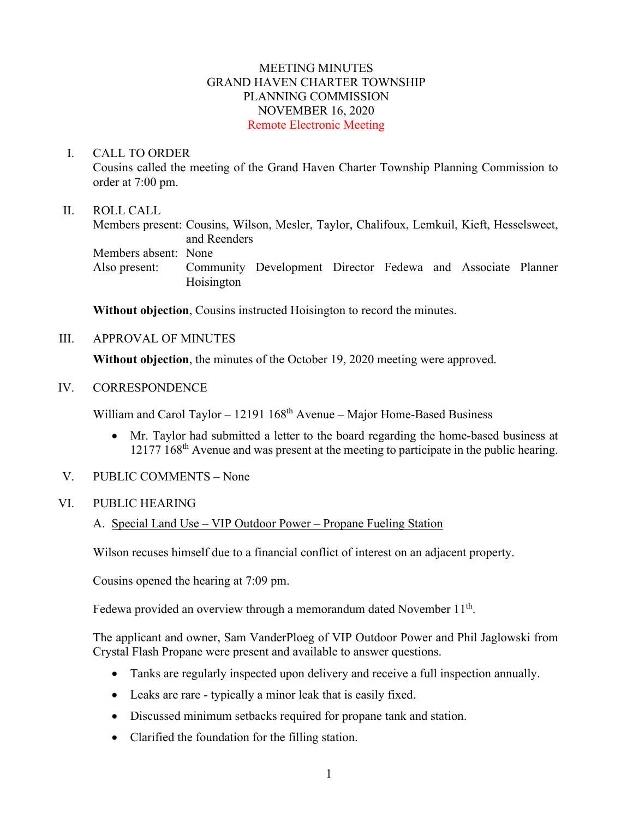## MEETING MINUTES GRAND HAVEN CHARTER TOWNSHIP PLANNING COMMISSION NOVEMBER 16, 2020 Remote Electronic Meeting

#### I. CALL TO ORDER

Cousins called the meeting of the Grand Haven Charter Township Planning Commission to order at 7:00 pm.

## II. ROLL CALL

Members present: Cousins, Wilson, Mesler, Taylor, Chalifoux, Lemkuil, Kieft, Hesselsweet, and Reenders Members absent: None Also present: Community Development Director Fedewa and Associate Planner Hoisington

**Without objection**, Cousins instructed Hoisington to record the minutes.

III. APPROVAL OF MINUTES

**Without objection**, the minutes of the October 19, 2020 meeting were approved.

IV. CORRESPONDENCE

William and Carol Taylor – 12191  $168<sup>th</sup>$  Avenue – Major Home-Based Business

- Mr. Taylor had submitted a letter to the board regarding the home-based business at 12177 168<sup>th</sup> Avenue and was present at the meeting to participate in the public hearing.
- V. PUBLIC COMMENTS None

## VI. PUBLIC HEARING

A. Special Land Use – VIP Outdoor Power – Propane Fueling Station

Wilson recuses himself due to a financial conflict of interest on an adjacent property.

Cousins opened the hearing at 7:09 pm.

Fedewa provided an overview through a memorandum dated November  $11<sup>th</sup>$ .

The applicant and owner, Sam VanderPloeg of VIP Outdoor Power and Phil Jaglowski from Crystal Flash Propane were present and available to answer questions.

- Tanks are regularly inspected upon delivery and receive a full inspection annually.
- Leaks are rare typically a minor leak that is easily fixed.
- Discussed minimum setbacks required for propane tank and station.
- Clarified the foundation for the filling station.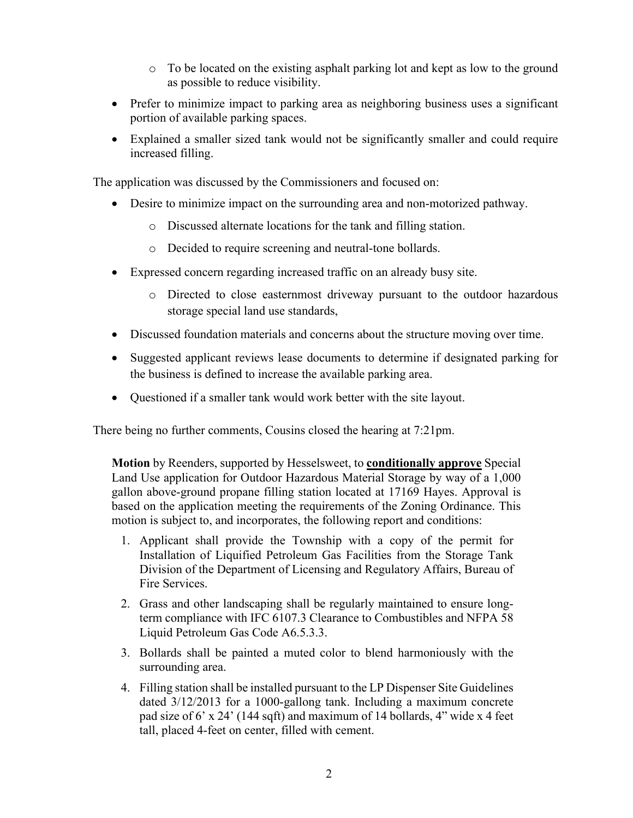- o To be located on the existing asphalt parking lot and kept as low to the ground as possible to reduce visibility.
- Prefer to minimize impact to parking area as neighboring business uses a significant portion of available parking spaces.
- Explained a smaller sized tank would not be significantly smaller and could require increased filling.

The application was discussed by the Commissioners and focused on:

- Desire to minimize impact on the surrounding area and non-motorized pathway.
	- o Discussed alternate locations for the tank and filling station.
	- o Decided to require screening and neutral-tone bollards.
- Expressed concern regarding increased traffic on an already busy site.
	- o Directed to close easternmost driveway pursuant to the outdoor hazardous storage special land use standards,
- Discussed foundation materials and concerns about the structure moving over time.
- Suggested applicant reviews lease documents to determine if designated parking for the business is defined to increase the available parking area.
- Questioned if a smaller tank would work better with the site layout.

There being no further comments, Cousins closed the hearing at 7:21pm.

**Motion** by Reenders, supported by Hesselsweet, to **conditionally approve** Special Land Use application for Outdoor Hazardous Material Storage by way of a 1,000 gallon above-ground propane filling station located at 17169 Hayes. Approval is based on the application meeting the requirements of the Zoning Ordinance. This motion is subject to, and incorporates, the following report and conditions:

- 1. Applicant shall provide the Township with a copy of the permit for Installation of Liquified Petroleum Gas Facilities from the Storage Tank Division of the Department of Licensing and Regulatory Affairs, Bureau of Fire Services.
- 2. Grass and other landscaping shall be regularly maintained to ensure longterm compliance with IFC 6107.3 Clearance to Combustibles and NFPA 58 Liquid Petroleum Gas Code A6.5.3.3.
- 3. Bollards shall be painted a muted color to blend harmoniously with the surrounding area.
- 4. Filling station shall be installed pursuant to the LP Dispenser Site Guidelines dated 3/12/2013 for a 1000-gallong tank. Including a maximum concrete pad size of 6' x 24' (144 sqft) and maximum of 14 bollards, 4" wide x 4 feet tall, placed 4-feet on center, filled with cement.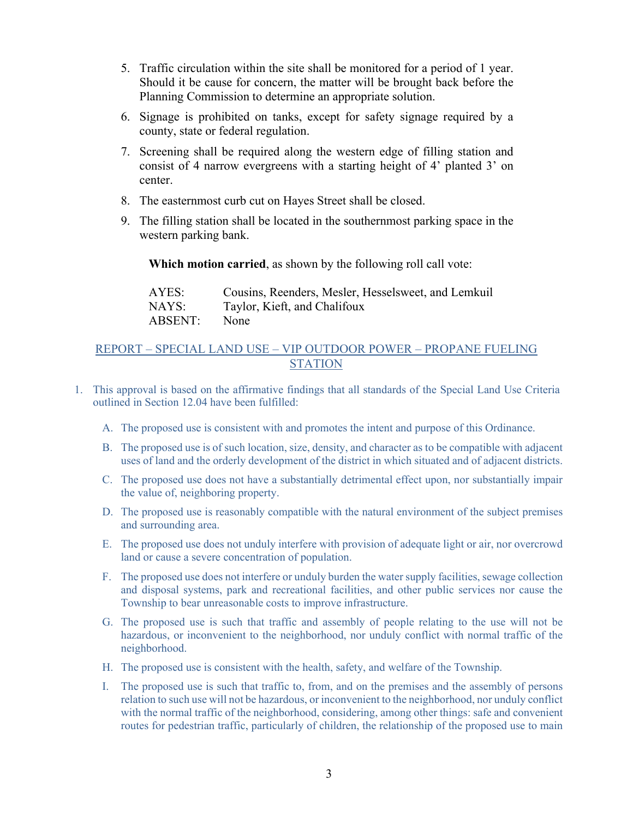- 5. Traffic circulation within the site shall be monitored for a period of 1 year. Should it be cause for concern, the matter will be brought back before the Planning Commission to determine an appropriate solution.
- 6. Signage is prohibited on tanks, except for safety signage required by a county, state or federal regulation.
- 7. Screening shall be required along the western edge of filling station and consist of 4 narrow evergreens with a starting height of 4' planted 3' on center.
- 8. The easternmost curb cut on Hayes Street shall be closed.
- 9. The filling station shall be located in the southernmost parking space in the western parking bank.

**Which motion carried**, as shown by the following roll call vote:

| AYES:   | Cousins, Reenders, Mesler, Hesselsweet, and Lemkuil |
|---------|-----------------------------------------------------|
| NAYS:   | Taylor, Kieft, and Chalifoux                        |
| ABSENT: | None                                                |

## REPORT – SPECIAL LAND USE – VIP OUTDOOR POWER – PROPANE FUELING **STATION**

- 1. This approval is based on the affirmative findings that all standards of the Special Land Use Criteria outlined in Section 12.04 have been fulfilled:
	- A. The proposed use is consistent with and promotes the intent and purpose of this Ordinance.
	- B. The proposed use is of such location, size, density, and character as to be compatible with adjacent uses of land and the orderly development of the district in which situated and of adjacent districts.
	- C. The proposed use does not have a substantially detrimental effect upon, nor substantially impair the value of, neighboring property.
	- D. The proposed use is reasonably compatible with the natural environment of the subject premises and surrounding area.
	- E. The proposed use does not unduly interfere with provision of adequate light or air, nor overcrowd land or cause a severe concentration of population.
	- F. The proposed use does not interfere or unduly burden the water supply facilities, sewage collection and disposal systems, park and recreational facilities, and other public services nor cause the Township to bear unreasonable costs to improve infrastructure.
	- G. The proposed use is such that traffic and assembly of people relating to the use will not be hazardous, or inconvenient to the neighborhood, nor unduly conflict with normal traffic of the neighborhood.
	- H. The proposed use is consistent with the health, safety, and welfare of the Township.
	- I. The proposed use is such that traffic to, from, and on the premises and the assembly of persons relation to such use will not be hazardous, or inconvenient to the neighborhood, nor unduly conflict with the normal traffic of the neighborhood, considering, among other things: safe and convenient routes for pedestrian traffic, particularly of children, the relationship of the proposed use to main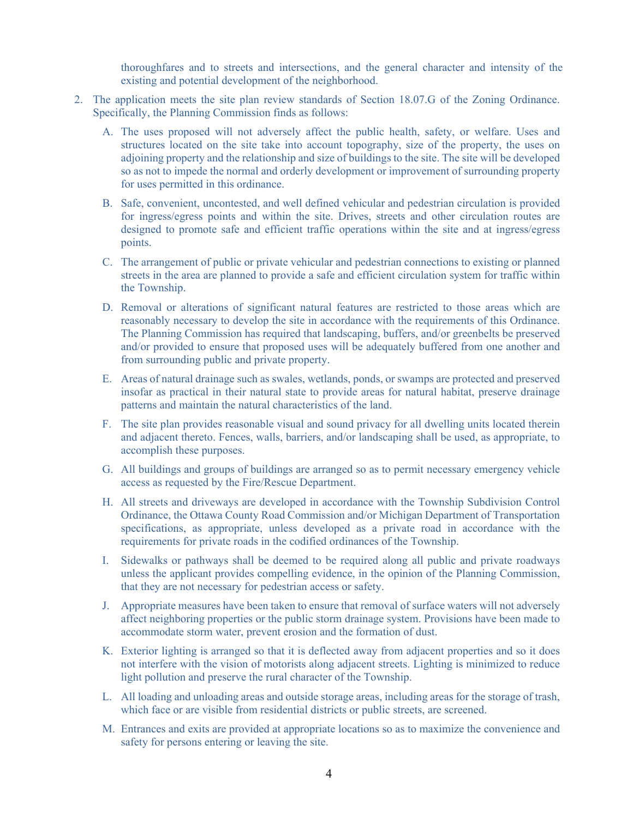thoroughfares and to streets and intersections, and the general character and intensity of the existing and potential development of the neighborhood.

- 2. The application meets the site plan review standards of Section 18.07.G of the Zoning Ordinance. Specifically, the Planning Commission finds as follows:
	- A. The uses proposed will not adversely affect the public health, safety, or welfare. Uses and structures located on the site take into account topography, size of the property, the uses on adjoining property and the relationship and size of buildings to the site. The site will be developed so as not to impede the normal and orderly development or improvement of surrounding property for uses permitted in this ordinance.
	- B. Safe, convenient, uncontested, and well defined vehicular and pedestrian circulation is provided for ingress/egress points and within the site. Drives, streets and other circulation routes are designed to promote safe and efficient traffic operations within the site and at ingress/egress points.
	- C. The arrangement of public or private vehicular and pedestrian connections to existing or planned streets in the area are planned to provide a safe and efficient circulation system for traffic within the Township.
	- D. Removal or alterations of significant natural features are restricted to those areas which are reasonably necessary to develop the site in accordance with the requirements of this Ordinance. The Planning Commission has required that landscaping, buffers, and/or greenbelts be preserved and/or provided to ensure that proposed uses will be adequately buffered from one another and from surrounding public and private property.
	- E. Areas of natural drainage such as swales, wetlands, ponds, or swamps are protected and preserved insofar as practical in their natural state to provide areas for natural habitat, preserve drainage patterns and maintain the natural characteristics of the land.
	- F. The site plan provides reasonable visual and sound privacy for all dwelling units located therein and adjacent thereto. Fences, walls, barriers, and/or landscaping shall be used, as appropriate, to accomplish these purposes.
	- G. All buildings and groups of buildings are arranged so as to permit necessary emergency vehicle access as requested by the Fire/Rescue Department.
	- H. All streets and driveways are developed in accordance with the Township Subdivision Control Ordinance, the Ottawa County Road Commission and/or Michigan Department of Transportation specifications, as appropriate, unless developed as a private road in accordance with the requirements for private roads in the codified ordinances of the Township.
	- I. Sidewalks or pathways shall be deemed to be required along all public and private roadways unless the applicant provides compelling evidence, in the opinion of the Planning Commission, that they are not necessary for pedestrian access or safety.
	- J. Appropriate measures have been taken to ensure that removal of surface waters will not adversely affect neighboring properties or the public storm drainage system. Provisions have been made to accommodate storm water, prevent erosion and the formation of dust.
	- K. Exterior lighting is arranged so that it is deflected away from adjacent properties and so it does not interfere with the vision of motorists along adjacent streets. Lighting is minimized to reduce light pollution and preserve the rural character of the Township.
	- L. All loading and unloading areas and outside storage areas, including areas for the storage of trash, which face or are visible from residential districts or public streets, are screened.
	- M. Entrances and exits are provided at appropriate locations so as to maximize the convenience and safety for persons entering or leaving the site.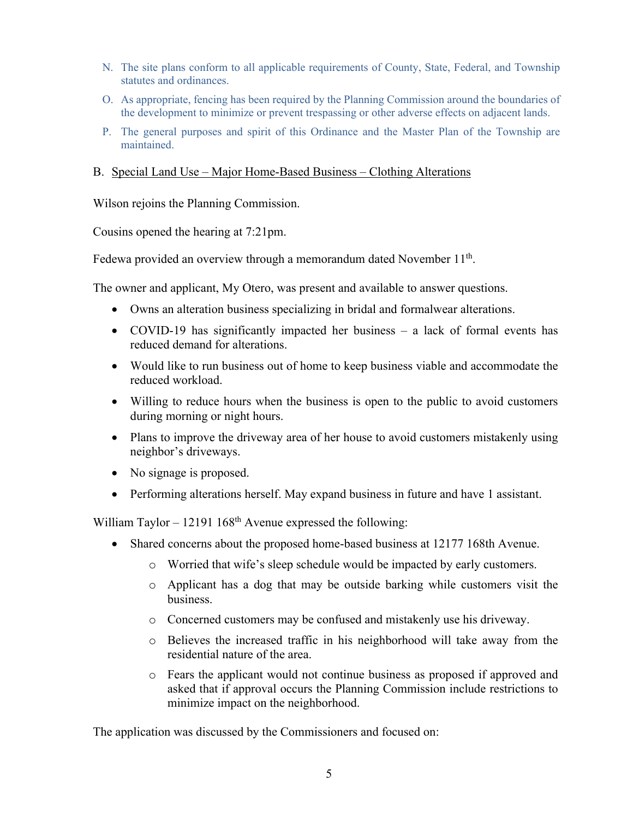- N. The site plans conform to all applicable requirements of County, State, Federal, and Township statutes and ordinances.
- O. As appropriate, fencing has been required by the Planning Commission around the boundaries of the development to minimize or prevent trespassing or other adverse effects on adjacent lands.
- P. The general purposes and spirit of this Ordinance and the Master Plan of the Township are maintained.

#### B. Special Land Use – Major Home-Based Business – Clothing Alterations

Wilson rejoins the Planning Commission.

Cousins opened the hearing at 7:21pm.

Fedewa provided an overview through a memorandum dated November  $11<sup>th</sup>$ .

The owner and applicant, My Otero, was present and available to answer questions.

- Owns an alteration business specializing in bridal and formalwear alterations.
- COVID-19 has significantly impacted her business a lack of formal events has reduced demand for alterations.
- Would like to run business out of home to keep business viable and accommodate the reduced workload.
- Willing to reduce hours when the business is open to the public to avoid customers during morning or night hours.
- Plans to improve the driveway area of her house to avoid customers mistakenly using neighbor's driveways.
- No signage is proposed.
- Performing alterations herself. May expand business in future and have 1 assistant.

William Taylor – 12191  $168<sup>th</sup>$  Avenue expressed the following:

- Shared concerns about the proposed home-based business at 12177 168th Avenue.
	- o Worried that wife's sleep schedule would be impacted by early customers.
	- o Applicant has a dog that may be outside barking while customers visit the business.
	- o Concerned customers may be confused and mistakenly use his driveway.
	- o Believes the increased traffic in his neighborhood will take away from the residential nature of the area.
	- o Fears the applicant would not continue business as proposed if approved and asked that if approval occurs the Planning Commission include restrictions to minimize impact on the neighborhood.

The application was discussed by the Commissioners and focused on: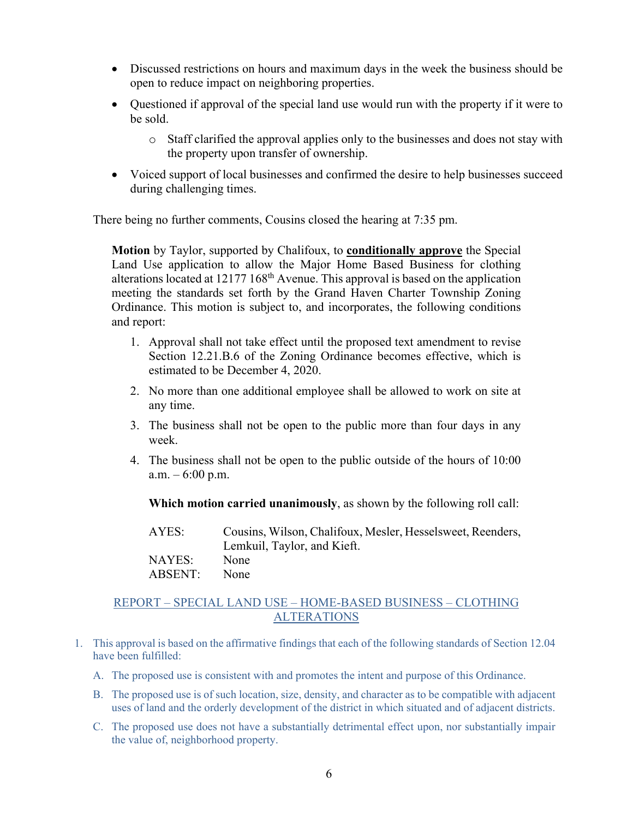- Discussed restrictions on hours and maximum days in the week the business should be open to reduce impact on neighboring properties.
- Questioned if approval of the special land use would run with the property if it were to be sold.
	- o Staff clarified the approval applies only to the businesses and does not stay with the property upon transfer of ownership.
- Voiced support of local businesses and confirmed the desire to help businesses succeed during challenging times.

There being no further comments, Cousins closed the hearing at 7:35 pm.

**Motion** by Taylor, supported by Chalifoux, to **conditionally approve** the Special Land Use application to allow the Major Home Based Business for clothing alterations located at  $12177 168<sup>th</sup>$  Avenue. This approval is based on the application meeting the standards set forth by the Grand Haven Charter Township Zoning Ordinance. This motion is subject to, and incorporates, the following conditions and report:

- 1. Approval shall not take effect until the proposed text amendment to revise Section 12.21.B.6 of the Zoning Ordinance becomes effective, which is estimated to be December 4, 2020.
- 2. No more than one additional employee shall be allowed to work on site at any time.
- 3. The business shall not be open to the public more than four days in any week.
- 4. The business shall not be open to the public outside of the hours of 10:00 a.m.  $-6:00$  p.m.

**Which motion carried unanimously**, as shown by the following roll call:

| AYES:   | Cousins, Wilson, Chalifoux, Mesler, Hesselsweet, Reenders, |
|---------|------------------------------------------------------------|
|         | Lemkuil, Taylor, and Kieft.                                |
| NAYES:  | None                                                       |
| ABSENT: | None                                                       |

## REPORT – SPECIAL LAND USE – HOME-BASED BUSINESS – CLOTHING ALTERATIONS

- 1. This approval is based on the affirmative findings that each of the following standards of Section 12.04 have been fulfilled:
	- A. The proposed use is consistent with and promotes the intent and purpose of this Ordinance.
	- B. The proposed use is of such location, size, density, and character as to be compatible with adjacent uses of land and the orderly development of the district in which situated and of adjacent districts.
	- C. The proposed use does not have a substantially detrimental effect upon, nor substantially impair the value of, neighborhood property.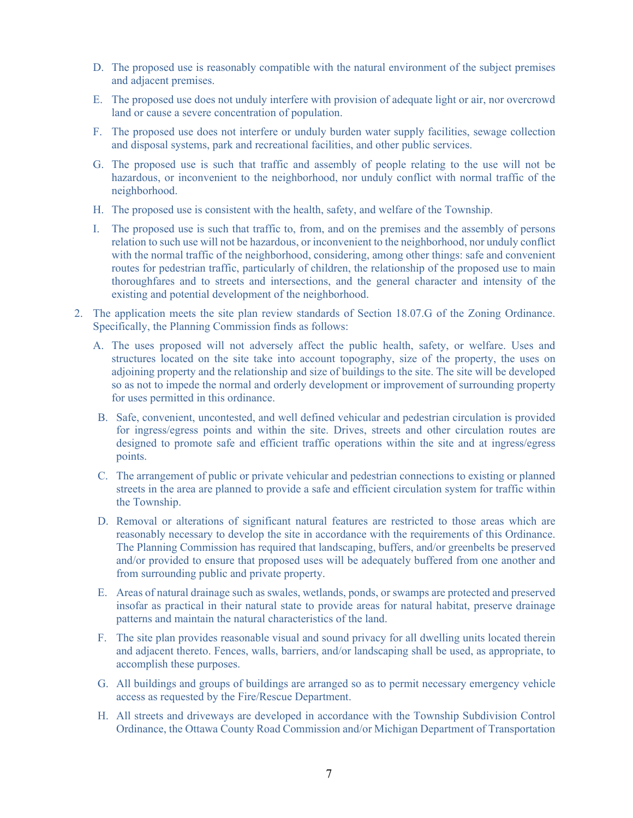- D. The proposed use is reasonably compatible with the natural environment of the subject premises and adjacent premises.
- E. The proposed use does not unduly interfere with provision of adequate light or air, nor overcrowd land or cause a severe concentration of population.
- F. The proposed use does not interfere or unduly burden water supply facilities, sewage collection and disposal systems, park and recreational facilities, and other public services.
- G. The proposed use is such that traffic and assembly of people relating to the use will not be hazardous, or inconvenient to the neighborhood, nor unduly conflict with normal traffic of the neighborhood.
- H. The proposed use is consistent with the health, safety, and welfare of the Township.
- I. The proposed use is such that traffic to, from, and on the premises and the assembly of persons relation to such use will not be hazardous, or inconvenient to the neighborhood, nor unduly conflict with the normal traffic of the neighborhood, considering, among other things: safe and convenient routes for pedestrian traffic, particularly of children, the relationship of the proposed use to main thoroughfares and to streets and intersections, and the general character and intensity of the existing and potential development of the neighborhood.
- 2. The application meets the site plan review standards of Section 18.07.G of the Zoning Ordinance. Specifically, the Planning Commission finds as follows:
	- A. The uses proposed will not adversely affect the public health, safety, or welfare. Uses and structures located on the site take into account topography, size of the property, the uses on adjoining property and the relationship and size of buildings to the site. The site will be developed so as not to impede the normal and orderly development or improvement of surrounding property for uses permitted in this ordinance.
	- B. Safe, convenient, uncontested, and well defined vehicular and pedestrian circulation is provided for ingress/egress points and within the site. Drives, streets and other circulation routes are designed to promote safe and efficient traffic operations within the site and at ingress/egress points.
	- C. The arrangement of public or private vehicular and pedestrian connections to existing or planned streets in the area are planned to provide a safe and efficient circulation system for traffic within the Township.
	- D. Removal or alterations of significant natural features are restricted to those areas which are reasonably necessary to develop the site in accordance with the requirements of this Ordinance. The Planning Commission has required that landscaping, buffers, and/or greenbelts be preserved and/or provided to ensure that proposed uses will be adequately buffered from one another and from surrounding public and private property.
	- E. Areas of natural drainage such as swales, wetlands, ponds, or swamps are protected and preserved insofar as practical in their natural state to provide areas for natural habitat, preserve drainage patterns and maintain the natural characteristics of the land.
	- F. The site plan provides reasonable visual and sound privacy for all dwelling units located therein and adjacent thereto. Fences, walls, barriers, and/or landscaping shall be used, as appropriate, to accomplish these purposes.
	- G. All buildings and groups of buildings are arranged so as to permit necessary emergency vehicle access as requested by the Fire/Rescue Department.
	- H. All streets and driveways are developed in accordance with the Township Subdivision Control Ordinance, the Ottawa County Road Commission and/or Michigan Department of Transportation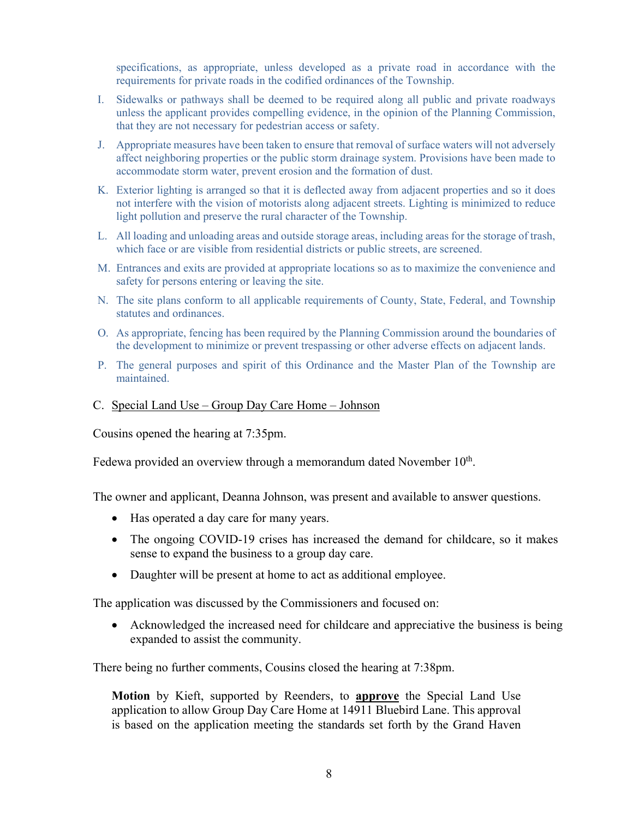specifications, as appropriate, unless developed as a private road in accordance with the requirements for private roads in the codified ordinances of the Township.

- I. Sidewalks or pathways shall be deemed to be required along all public and private roadways unless the applicant provides compelling evidence, in the opinion of the Planning Commission, that they are not necessary for pedestrian access or safety.
- J. Appropriate measures have been taken to ensure that removal of surface waters will not adversely affect neighboring properties or the public storm drainage system. Provisions have been made to accommodate storm water, prevent erosion and the formation of dust.
- K. Exterior lighting is arranged so that it is deflected away from adjacent properties and so it does not interfere with the vision of motorists along adjacent streets. Lighting is minimized to reduce light pollution and preserve the rural character of the Township.
- L. All loading and unloading areas and outside storage areas, including areas for the storage of trash, which face or are visible from residential districts or public streets, are screened.
- M. Entrances and exits are provided at appropriate locations so as to maximize the convenience and safety for persons entering or leaving the site.
- N. The site plans conform to all applicable requirements of County, State, Federal, and Township statutes and ordinances.
- O. As appropriate, fencing has been required by the Planning Commission around the boundaries of the development to minimize or prevent trespassing or other adverse effects on adjacent lands.
- P. The general purposes and spirit of this Ordinance and the Master Plan of the Township are maintained.

#### C. Special Land Use – Group Day Care Home – Johnson

Cousins opened the hearing at 7:35pm.

Fedewa provided an overview through a memorandum dated November  $10<sup>th</sup>$ .

The owner and applicant, Deanna Johnson, was present and available to answer questions.

- Has operated a day care for many years.
- The ongoing COVID-19 crises has increased the demand for childcare, so it makes sense to expand the business to a group day care.
- Daughter will be present at home to act as additional employee.

The application was discussed by the Commissioners and focused on:

• Acknowledged the increased need for childcare and appreciative the business is being expanded to assist the community.

There being no further comments, Cousins closed the hearing at 7:38pm.

**Motion** by Kieft, supported by Reenders, to **approve** the Special Land Use application to allow Group Day Care Home at 14911 Bluebird Lane. This approval is based on the application meeting the standards set forth by the Grand Haven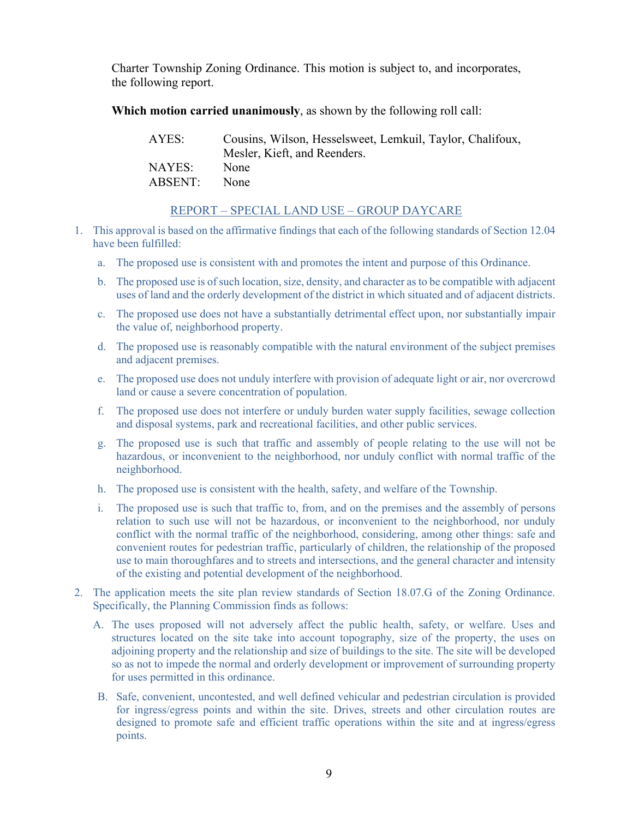Charter Township Zoning Ordinance. This motion is subject to, and incorporates, the following report.

**Which motion carried unanimously**, as shown by the following roll call:

| AYES:   | Cousins, Wilson, Hesselsweet, Lemkuil, Taylor, Chalifoux, |
|---------|-----------------------------------------------------------|
|         | Mesler, Kieft, and Reenders.                              |
| NAYES:  | None                                                      |
| ABSENT: | None                                                      |

## REPORT – SPECIAL LAND USE – GROUP DAYCARE

- 1. This approval is based on the affirmative findings that each of the following standards of Section 12.04 have been fulfilled:
	- a. The proposed use is consistent with and promotes the intent and purpose of this Ordinance.
	- b. The proposed use is of such location, size, density, and character as to be compatible with adjacent uses of land and the orderly development of the district in which situated and of adjacent districts.
	- c. The proposed use does not have a substantially detrimental effect upon, nor substantially impair the value of, neighborhood property.
	- d. The proposed use is reasonably compatible with the natural environment of the subject premises and adjacent premises.
	- e. The proposed use does not unduly interfere with provision of adequate light or air, nor overcrowd land or cause a severe concentration of population.
	- f. The proposed use does not interfere or unduly burden water supply facilities, sewage collection and disposal systems, park and recreational facilities, and other public services.
	- g. The proposed use is such that traffic and assembly of people relating to the use will not be hazardous, or inconvenient to the neighborhood, nor unduly conflict with normal traffic of the neighborhood.
	- h. The proposed use is consistent with the health, safety, and welfare of the Township.
	- i. The proposed use is such that traffic to, from, and on the premises and the assembly of persons relation to such use will not be hazardous, or inconvenient to the neighborhood, nor unduly conflict with the normal traffic of the neighborhood, considering, among other things: safe and convenient routes for pedestrian traffic, particularly of children, the relationship of the proposed use to main thoroughfares and to streets and intersections, and the general character and intensity of the existing and potential development of the neighborhood.
- 2. The application meets the site plan review standards of Section 18.07.G of the Zoning Ordinance. Specifically, the Planning Commission finds as follows:
	- A. The uses proposed will not adversely affect the public health, safety, or welfare. Uses and structures located on the site take into account topography, size of the property, the uses on adjoining property and the relationship and size of buildings to the site. The site will be developed so as not to impede the normal and orderly development or improvement of surrounding property for uses permitted in this ordinance.
	- B. Safe, convenient, uncontested, and well defined vehicular and pedestrian circulation is provided for ingress/egress points and within the site. Drives, streets and other circulation routes are designed to promote safe and efficient traffic operations within the site and at ingress/egress points.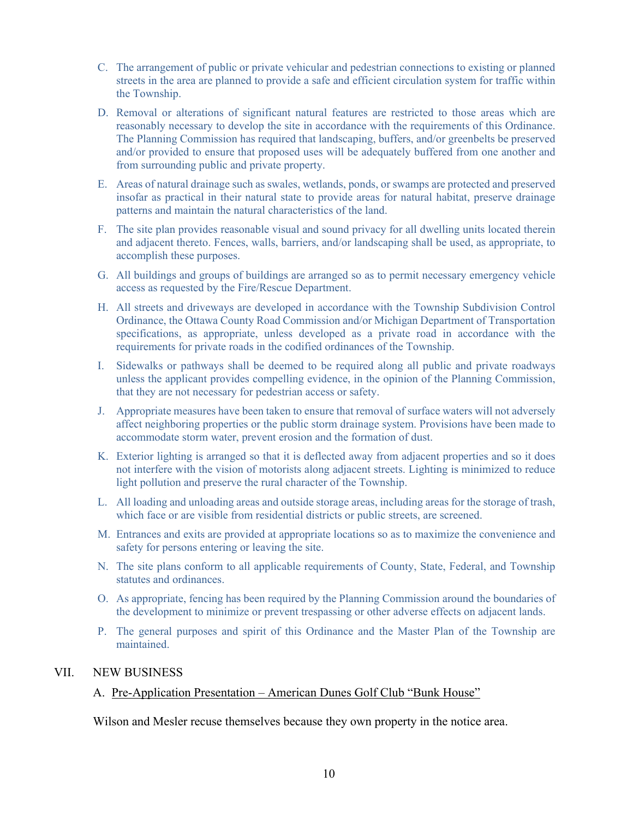- C. The arrangement of public or private vehicular and pedestrian connections to existing or planned streets in the area are planned to provide a safe and efficient circulation system for traffic within the Township.
- D. Removal or alterations of significant natural features are restricted to those areas which are reasonably necessary to develop the site in accordance with the requirements of this Ordinance. The Planning Commission has required that landscaping, buffers, and/or greenbelts be preserved and/or provided to ensure that proposed uses will be adequately buffered from one another and from surrounding public and private property.
- E. Areas of natural drainage such as swales, wetlands, ponds, or swamps are protected and preserved insofar as practical in their natural state to provide areas for natural habitat, preserve drainage patterns and maintain the natural characteristics of the land.
- F. The site plan provides reasonable visual and sound privacy for all dwelling units located therein and adjacent thereto. Fences, walls, barriers, and/or landscaping shall be used, as appropriate, to accomplish these purposes.
- G. All buildings and groups of buildings are arranged so as to permit necessary emergency vehicle access as requested by the Fire/Rescue Department.
- H. All streets and driveways are developed in accordance with the Township Subdivision Control Ordinance, the Ottawa County Road Commission and/or Michigan Department of Transportation specifications, as appropriate, unless developed as a private road in accordance with the requirements for private roads in the codified ordinances of the Township.
- I. Sidewalks or pathways shall be deemed to be required along all public and private roadways unless the applicant provides compelling evidence, in the opinion of the Planning Commission, that they are not necessary for pedestrian access or safety.
- J. Appropriate measures have been taken to ensure that removal of surface waters will not adversely affect neighboring properties or the public storm drainage system. Provisions have been made to accommodate storm water, prevent erosion and the formation of dust.
- K. Exterior lighting is arranged so that it is deflected away from adjacent properties and so it does not interfere with the vision of motorists along adjacent streets. Lighting is minimized to reduce light pollution and preserve the rural character of the Township.
- L. All loading and unloading areas and outside storage areas, including areas for the storage of trash, which face or are visible from residential districts or public streets, are screened.
- M. Entrances and exits are provided at appropriate locations so as to maximize the convenience and safety for persons entering or leaving the site.
- N. The site plans conform to all applicable requirements of County, State, Federal, and Township statutes and ordinances.
- O. As appropriate, fencing has been required by the Planning Commission around the boundaries of the development to minimize or prevent trespassing or other adverse effects on adjacent lands.
- P. The general purposes and spirit of this Ordinance and the Master Plan of the Township are maintained.

## VII. NEW BUSINESS

#### A. Pre-Application Presentation – American Dunes Golf Club "Bunk House"

Wilson and Mesler recuse themselves because they own property in the notice area.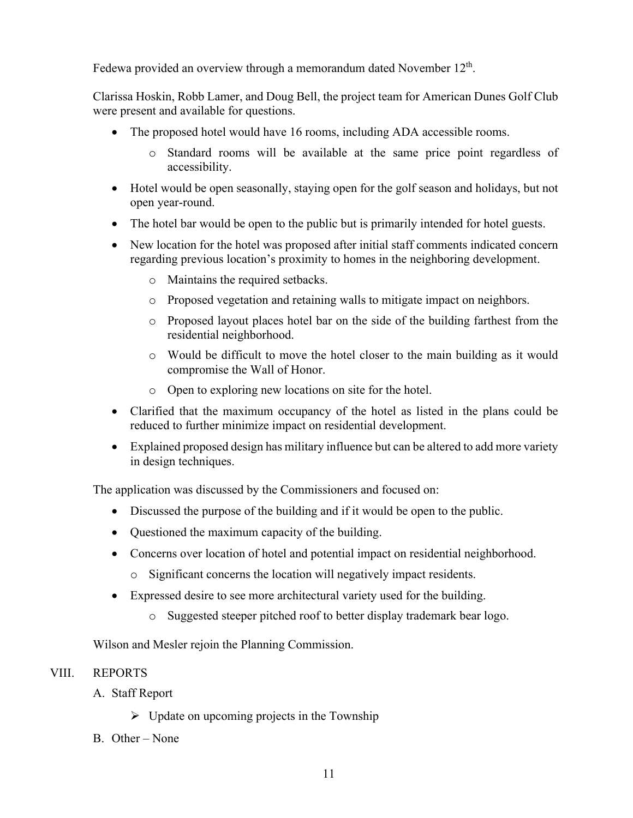Fedewa provided an overview through a memorandum dated November 12<sup>th</sup>.

Clarissa Hoskin, Robb Lamer, and Doug Bell, the project team for American Dunes Golf Club were present and available for questions.

- The proposed hotel would have 16 rooms, including ADA accessible rooms.
	- o Standard rooms will be available at the same price point regardless of accessibility.
- Hotel would be open seasonally, staying open for the golf season and holidays, but not open year-round.
- The hotel bar would be open to the public but is primarily intended for hotel guests.
- New location for the hotel was proposed after initial staff comments indicated concern regarding previous location's proximity to homes in the neighboring development.
	- o Maintains the required setbacks.
	- o Proposed vegetation and retaining walls to mitigate impact on neighbors.
	- o Proposed layout places hotel bar on the side of the building farthest from the residential neighborhood.
	- o Would be difficult to move the hotel closer to the main building as it would compromise the Wall of Honor.
	- o Open to exploring new locations on site for the hotel.
- Clarified that the maximum occupancy of the hotel as listed in the plans could be reduced to further minimize impact on residential development.
- Explained proposed design has military influence but can be altered to add more variety in design techniques.

The application was discussed by the Commissioners and focused on:

- Discussed the purpose of the building and if it would be open to the public.
- Questioned the maximum capacity of the building.
- Concerns over location of hotel and potential impact on residential neighborhood.
	- o Significant concerns the location will negatively impact residents.
- Expressed desire to see more architectural variety used for the building.
	- o Suggested steeper pitched roof to better display trademark bear logo.

Wilson and Mesler rejoin the Planning Commission.

## VIII. REPORTS

- A. Staff Report
	- $\triangleright$  Update on upcoming projects in the Township
- B. Other None